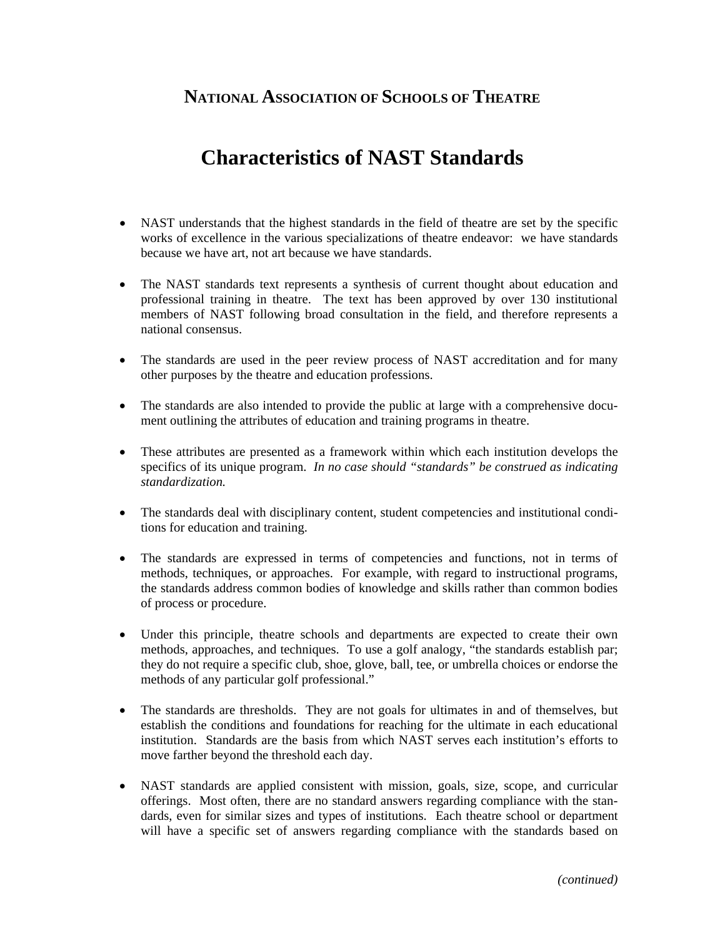## **NATIONAL ASSOCIATION OF SCHOOLS OF THEATRE**

## **Characteristics of NAST Standards**

- NAST understands that the highest standards in the field of theatre are set by the specific works of excellence in the various specializations of theatre endeavor: we have standards because we have art, not art because we have standards.
- The NAST standards text represents a synthesis of current thought about education and professional training in theatre. The text has been approved by over 130 institutional members of NAST following broad consultation in the field, and therefore represents a national consensus.
- The standards are used in the peer review process of NAST accreditation and for many other purposes by the theatre and education professions.
- The standards are also intended to provide the public at large with a comprehensive document outlining the attributes of education and training programs in theatre.
- These attributes are presented as a framework within which each institution develops the specifics of its unique program. *In no case should "standards" be construed as indicating standardization.*
- The standards deal with disciplinary content, student competencies and institutional conditions for education and training.
- The standards are expressed in terms of competencies and functions, not in terms of methods, techniques, or approaches. For example, with regard to instructional programs, the standards address common bodies of knowledge and skills rather than common bodies of process or procedure.
- Under this principle, theatre schools and departments are expected to create their own methods, approaches, and techniques. To use a golf analogy, "the standards establish par; they do not require a specific club, shoe, glove, ball, tee, or umbrella choices or endorse the methods of any particular golf professional."
- The standards are thresholds. They are not goals for ultimates in and of themselves, but establish the conditions and foundations for reaching for the ultimate in each educational institution. Standards are the basis from which NAST serves each institution's efforts to move farther beyond the threshold each day.
- NAST standards are applied consistent with mission, goals, size, scope, and curricular offerings. Most often, there are no standard answers regarding compliance with the standards, even for similar sizes and types of institutions. Each theatre school or department will have a specific set of answers regarding compliance with the standards based on